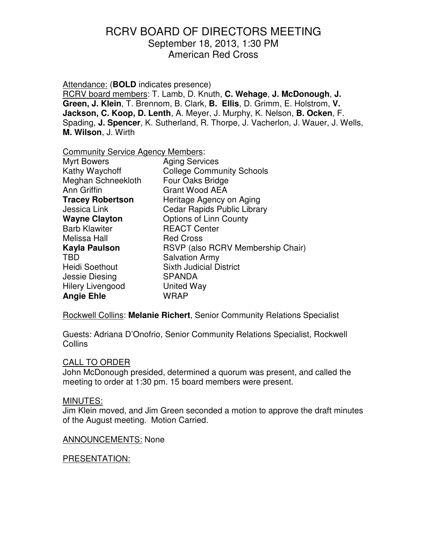Attendance: (**BOLD** indicates presence)

RCRV board members: T. Lamb, D. Knuth, **C. Wehage**, **J. McDonough**, **J. Green, J. Klein**, T. Brennom, B. Clark, **B. Ellis**, D. Grimm, E. Holstrom, **V. Jackson, C. Koop, D. Lenth**, A. Meyer, J. Murphy, K. Nelson, **B. Ocken**, F. Spading, **J. Spencer**, K. Sutherland, R. Thorpe, J. Vacherlon, J. Wauer, J. Wells, **M. Wilson**, J. Wirth

Community Service Agency Members:

| <b>Myrt Bowers</b>      | <b>Aging Services</b>              |
|-------------------------|------------------------------------|
| Kathy Waychoff          | <b>College Community Schools</b>   |
| Meghan Schneekloth      | Four Oaks Bridge                   |
| Ann Griffin             | <b>Grant Wood AEA</b>              |
| <b>Tracey Robertson</b> | Heritage Agency on Aging           |
| Jessica Link            | <b>Cedar Rapids Public Library</b> |
| <b>Wayne Clayton</b>    | Options of Linn County             |
| <b>Barb Klawiter</b>    | <b>REACT Center</b>                |
| Melissa Hall            | <b>Red Cross</b>                   |
| Kayla Paulson           | RSVP (also RCRV Membership Chair)  |
| <b>TBD</b>              | <b>Salvation Army</b>              |
| <b>Heidi Soethout</b>   | <b>Sixth Judicial District</b>     |
| Jessie Diesing          | <b>SPANDA</b>                      |
| <b>Hilery Livengood</b> | United Way                         |
| <b>Angie Ehle</b>       | WRAP                               |

Rockwell Collins: **Melanie Richert**, Senior Community Relations Specialist

Guests: Adriana D'Onofrio, Senior Community Relations Specialist, Rockwell **Collins** 

### CALL TO ORDER

John McDonough presided, determined a quorum was present, and called the meeting to order at 1:30 pm. 15 board members were present.

### MINUTES:

Jim Klein moved, and Jim Green seconded a motion to approve the draft minutes of the August meeting. Motion Carried.

### ANNOUNCEMENTS: None

#### PRESENTATION: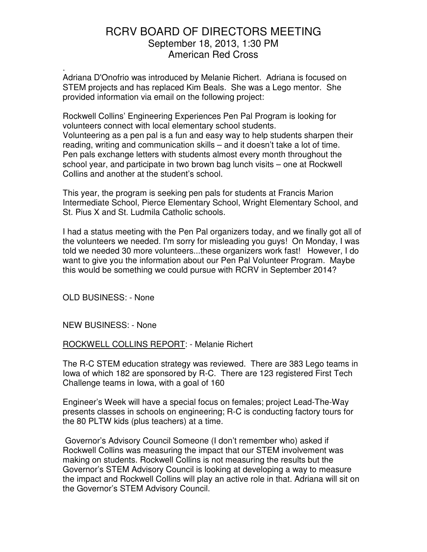Adriana D'Onofrio was introduced by Melanie Richert. Adriana is focused on STEM projects and has replaced Kim Beals. She was a Lego mentor. She provided information via email on the following project: .

Rockwell Collins' Engineering Experiences Pen Pal Program is looking for volunteers connect with local elementary school students. Volunteering as a pen pal is a fun and easy way to help students sharpen their reading, writing and communication skills – and it doesn't take a lot of time. Pen pals exchange letters with students almost every month throughout the school year, and participate in two brown bag lunch visits – one at Rockwell Collins and another at the student's school.

This year, the program is seeking pen pals for students at Francis Marion Intermediate School, Pierce Elementary School, Wright Elementary School, and St. Pius X and St. Ludmila Catholic schools.

I had a status meeting with the Pen Pal organizers today, and we finally got all of the volunteers we needed. I'm sorry for misleading you guys! On Monday, I was told we needed 30 more volunteers...these organizers work fast! However, I do want to give you the information about our Pen Pal Volunteer Program. Maybe this would be something we could pursue with RCRV in September 2014?

OLD BUSINESS: - None

NEW BUSINESS: - None

ROCKWELL COLLINS REPORT: - Melanie Richert

The R-C STEM education strategy was reviewed. There are 383 Lego teams in Iowa of which 182 are sponsored by R-C. There are 123 registered First Tech Challenge teams in Iowa, with a goal of 160

Engineer's Week will have a special focus on females; project Lead-The-Way presents classes in schools on engineering; R-C is conducting factory tours for the 80 PLTW kids (plus teachers) at a time.

 Governor's Advisory Council Someone (I don't remember who) asked if Rockwell Collins was measuring the impact that our STEM involvement was making on students. Rockwell Collins is not measuring the results but the Governor's STEM Advisory Council is looking at developing a way to measure the impact and Rockwell Collins will play an active role in that. Adriana will sit on the Governor's STEM Advisory Council.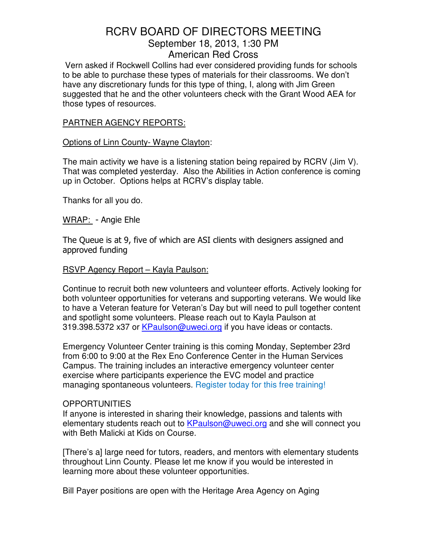Vern asked if Rockwell Collins had ever considered providing funds for schools to be able to purchase these types of materials for their classrooms. We don't have any discretionary funds for this type of thing, I, along with Jim Green suggested that he and the other volunteers check with the Grant Wood AEA for those types of resources.

### PARTNER AGENCY REPORTS:

#### Options of Linn County- Wayne Clayton:

The main activity we have is a listening station being repaired by RCRV (Jim V). That was completed yesterday. Also the Abilities in Action conference is coming up in October. Options helps at RCRV's display table.

Thanks for all you do.

WRAP: - Angie Ehle

The Queue is at 9, five of which are ASI clients with designers assigned and approved funding

#### RSVP Agency Report – Kayla Paulson:

Continue to recruit both new volunteers and volunteer efforts. Actively looking for both volunteer opportunities for veterans and supporting veterans. We would like to have a Veteran feature for Veteran's Day but will need to pull together content and spotlight some volunteers. Please reach out to Kayla Paulson at 319.398.5372 x37 or KPaulson@uweci.org if you have ideas or contacts.

Emergency Volunteer Center training is this coming Monday, September 23rd from 6:00 to 9:00 at the Rex Eno Conference Center in the Human Services Campus. The training includes an interactive emergency volunteer center exercise where participants experience the EVC model and practice managing spontaneous volunteers. Register today for this free training!

#### OPPORTUNITIES

If anyone is interested in sharing their knowledge, passions and talents with elementary students reach out to KPaulson@uweci.org and she will connect you with Beth Malicki at Kids on Course.

[There's a] large need for tutors, readers, and mentors with elementary students throughout Linn County. Please let me know if you would be interested in learning more about these volunteer opportunities.

Bill Payer positions are open with the Heritage Area Agency on Aging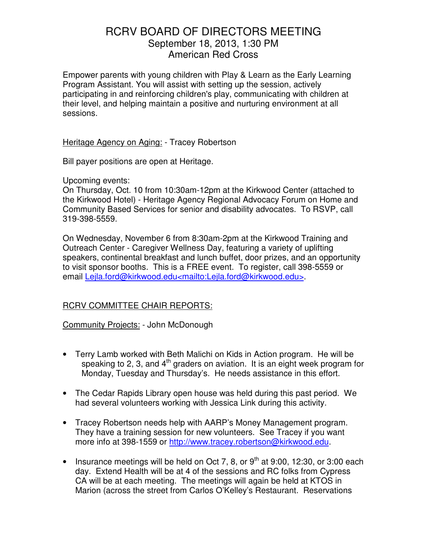Empower parents with young children with Play & Learn as the Early Learning Program Assistant. You will assist with setting up the session, actively participating in and reinforcing children's play, communicating with children at their level, and helping maintain a positive and nurturing environment at all sessions.

Heritage Agency on Aging: - Tracey Robertson

Bill payer positions are open at Heritage.

Upcoming events:

On Thursday, Oct. 10 from 10:30am-12pm at the Kirkwood Center (attached to the Kirkwood Hotel) - Heritage Agency Regional Advocacy Forum on Home and Community Based Services for senior and disability advocates. To RSVP, call 319-398-5559.

On Wednesday, November 6 from 8:30am-2pm at the Kirkwood Training and Outreach Center - Caregiver Wellness Day, featuring a variety of uplifting speakers, continental breakfast and lunch buffet, door prizes, and an opportunity to visit sponsor booths. This is a FREE event. To register, call 398-5559 or email Lejla.ford@kirkwood.edu<mailto:Lejla.ford@kirkwood.edu>.

## RCRV COMMITTEE CHAIR REPORTS:

Community Projects: - John McDonough

- Terry Lamb worked with Beth Malichi on Kids in Action program. He will be speaking to 2, 3, and  $4<sup>th</sup>$  graders on aviation. It is an eight week program for Monday, Tuesday and Thursday's. He needs assistance in this effort.
- The Cedar Rapids Library open house was held during this past period. We had several volunteers working with Jessica Link during this activity.
- Tracey Robertson needs help with AARP's Money Management program. They have a training session for new volunteers. See Tracey if you want more info at 398-1559 or http://www.tracey.robertson@kirkwood.edu.
- Insurance meetings will be held on Oct 7, 8, or  $9<sup>th</sup>$  at 9:00, 12:30, or 3:00 each day. Extend Health will be at 4 of the sessions and RC folks from Cypress CA will be at each meeting. The meetings will again be held at KTOS in Marion (across the street from Carlos O'Kelley's Restaurant. Reservations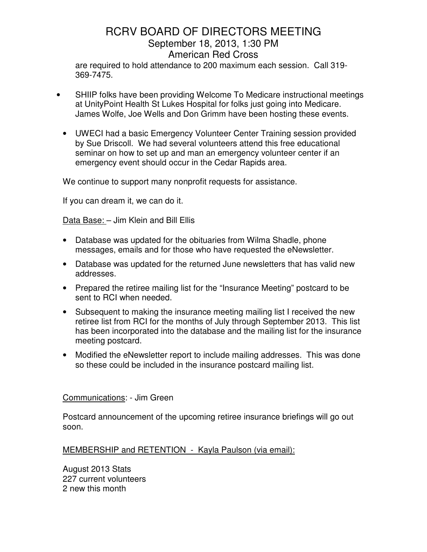are required to hold attendance to 200 maximum each session. Call 319- 369-7475.

- SHIIP folks have been providing Welcome To Medicare instructional meetings at UnityPoint Health St Lukes Hospital for folks just going into Medicare. James Wolfe, Joe Wells and Don Grimm have been hosting these events.
	- UWECI had a basic Emergency Volunteer Center Training session provided by Sue Driscoll. We had several volunteers attend this free educational seminar on how to set up and man an emergency volunteer center if an emergency event should occur in the Cedar Rapids area.

We continue to support many nonprofit requests for assistance.

If you can dream it, we can do it.

Data Base: – Jim Klein and Bill Ellis

- Database was updated for the obituaries from Wilma Shadle, phone messages, emails and for those who have requested the eNewsletter.
- Database was updated for the returned June newsletters that has valid new addresses.
- Prepared the retiree mailing list for the "Insurance Meeting" postcard to be sent to RCI when needed.
- Subsequent to making the insurance meeting mailing list I received the new retiree list from RCI for the months of July through September 2013. This list has been incorporated into the database and the mailing list for the insurance meeting postcard.
- Modified the eNewsletter report to include mailing addresses. This was done so these could be included in the insurance postcard mailing list.

### Communications: - Jim Green

Postcard announcement of the upcoming retiree insurance briefings will go out soon.

## MEMBERSHIP and RETENTION - Kayla Paulson (via email):

August 2013 Stats 227 current volunteers 2 new this month